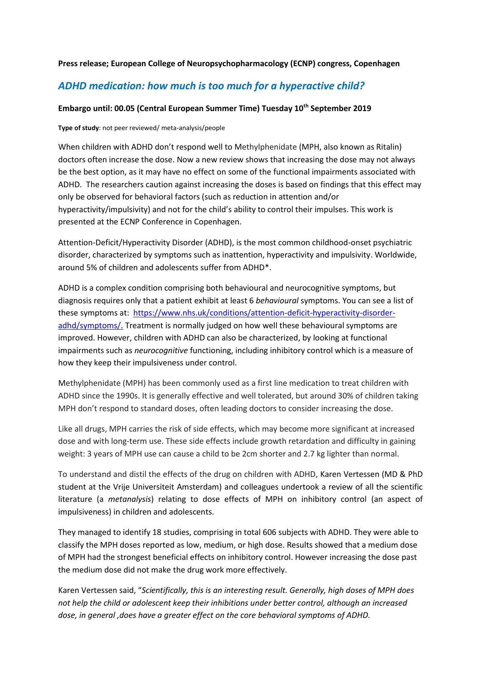## **Press release; European College of Neuropsychopharmacology (ECNP) congress, Copenhagen**

# *ADHD medication: how much is too much for a hyperactive child?*

## **Embargo until: 00.05 (Central European Summer Time) Tuesday 10th September 2019**

### **Type of study**: not peer reviewed/ meta-analysis/people

When children with ADHD don't respond well to Methylphenidate (MPH, also known as Ritalin) doctors often increase the dose. Now a new review shows that increasing the dose may not always be the best option, as it may have no effect on some of the functional impairments associated with ADHD. The researchers caution against increasing the doses is based on findings that this effect may only be observed for behavioral factors (such as reduction in attention and/or hyperactivity/impulsivity) and not for the child's ability to control their impulses. This work is presented at the ECNP Conference in Copenhagen.

Attention-Deficit/Hyperactivity Disorder (ADHD), is the most common childhood-onset psychiatric disorder, characterized by symptoms such as inattention, [hyperactivity](https://www-sciencedirect-com.vu-nl.idm.oclc.org/topics/neuroscience/hyperactivity) and [impulsivity.](https://www-sciencedirect-com.vu-nl.idm.oclc.org/topics/medicine-and-dentistry/impulsiveness) Worldwide, around 5% of children and adolescents suffer from ADHD\*.

ADHD is a complex condition comprising both behavioural and neurocognitive symptoms, but diagnosis requires only that a patient exhibit at least 6 *behavioural* symptoms. You can see a list of these symptoms at: [https://www.nhs.uk/conditions/attention-deficit-hyperactivity-disorder](https://www.nhs.uk/conditions/attention-deficit-hyperactivity-disorder-adhd/symptoms/)[adhd/symptoms/.](https://www.nhs.uk/conditions/attention-deficit-hyperactivity-disorder-adhd/symptoms/) Treatment is normally judged on how well these behavioural symptoms are improved. However, children with ADHD can also be characterized, by looking at functional impairments such as *neurocognitive* functioning, including inhibitory control which is a measure of how they keep their impulsiveness under control.

Methylphenidate (MPH) has been commonly used as a first line medication to treat children with ADHD since the 1990s. It is generally effective and well tolerated, but around 30% of children taking MPH don't respond to standard doses, often leading doctors to consider increasing the dose.

Like all drugs, MPH carries the risk of side effects, which may become more significant at increased dose and with long-term use. These side effects include growth retardation and difficulty in gaining weight: 3 years of MPH use can cause a child to be 2cm shorter and 2.7 kg lighter than normal.

To understand and distil the effects of the drug on children with ADHD, Karen Vertessen (MD & PhD student at the Vrije Universiteit Amsterdam) and colleagues undertook a review of all the scientific literature (a *metanalysis*) relating to dose effects of MPH on inhibitory control (an aspect of impulsiveness) in children and adolescents.

They managed to identify 18 studies, comprising in total 606 subjects with ADHD. They were able to classify the MPH doses reported as low, medium, or high dose. Results showed that a medium dose of MPH had the strongest beneficial effects on inhibitory control. However increasing the dose past the medium dose did not make the drug work more effectively.

Karen Vertessen said, "*Scientifically, this is an interesting result. Generally, high doses of MPH does not help the child or adolescent keep their inhibitions under better control, although an increased dose, in general ,does have a greater effect on the core behavioral symptoms of ADHD.*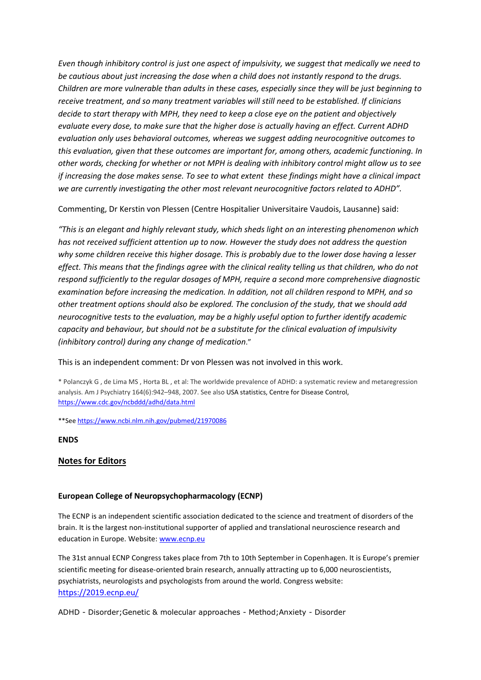*Even though inhibitory control is just one aspect of impulsivity, we suggest that medically we need to be cautious about just increasing the dose when a child does not instantly respond to the drugs. Children are more vulnerable than adults in these cases, especially since they will be just beginning to receive treatment, and so many treatment variables will still need to be established. If clinicians decide to start therapy with MPH, they need to keep a close eye on the patient and objectively evaluate every dose, to make sure that the higher dose is actually having an effect. Current ADHD evaluation only uses behavioral outcomes, whereas we suggest adding neurocognitive outcomes to this evaluation, given that these outcomes are important for, among others, academic functioning. In other words, checking for whether or not MPH is dealing with inhibitory control might allow us to see if increasing the dose makes sense. To see to what extent these findings might have a clinical impact we are currently investigating the other most relevant neurocognitive factors related to ADHD".* 

Commenting, Dr Kerstin von Plessen (Centre Hospitalier Universitaire Vaudois, Lausanne) said:

*"This is an elegant and highly relevant study, which sheds light on an interesting phenomenon which has not received sufficient attention up to now. However the study does not address the question why some children receive this higher dosage. This is probably due to the lower dose having a lesser effect. This means that the findings agree with the clinical reality telling us that children, who do not respond sufficiently to the regular dosages of MPH, require a second more comprehensive diagnostic examination before increasing the medication. In addition, not all children respond to MPH, and so other treatment options should also be explored. The conclusion of the study, that we should add neurocognitive tests to the evaluation, may be a highly useful option to further identify academic capacity and behaviour, but should not be a substitute for the clinical evaluation of impulsivity (inhibitory control) during any change of medication*."

This is an independent comment: Dr von Plessen was not involved in this work.

\* Polanczyk G , de Lima MS , Horta BL , et al: The worldwide prevalence of ADHD: a systematic review and metaregression analysis. Am J Psychiatry 164(6):942–948, 2007. See also USA statistics, Centre for Disease Control, <https://www.cdc.gov/ncbddd/adhd/data.html>

\*\*Se[e https://www.ncbi.nlm.nih.gov/pubmed/21970086](https://www.ncbi.nlm.nih.gov/pubmed/21970086)

**ENDS**

## **Notes for Editors**

## **European College of Neuropsychopharmacology (ECNP)**

The ECNP is an independent scientific association dedicated to the science and treatment of disorders of the brain. It is the largest non-institutional supporter of applied and translational neuroscience research and education in Europe. Website[: www.ecnp.eu](http://www.ecnp.eu/)

The 31st annual ECNP Congress takes place from 7th to 10th September in Copenhagen. It is Europe's premier scientific meeting for disease-oriented brain research, annually attracting up to 6,000 neuroscientists, psychiatrists, neurologists and psychologists from around the world. Congress website: <https://2019.ecnp.eu/>

ADHD - Disorder;Genetic & molecular approaches - Method;Anxiety - Disorder